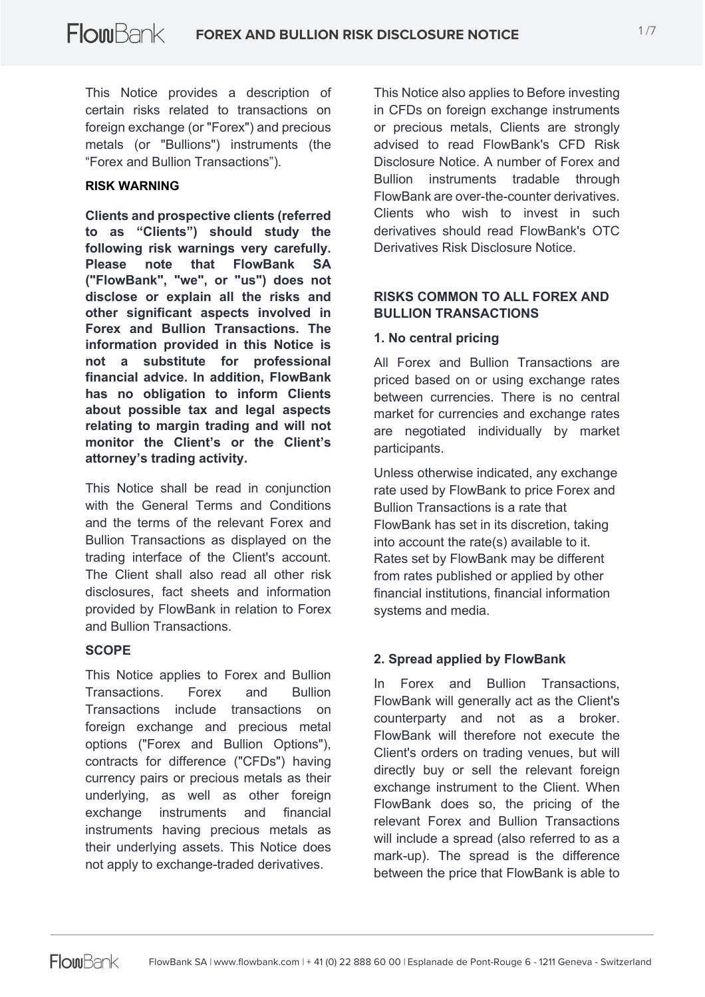This Notice provides a description of certain risks related to transactions on foreign exchange (or "Forex") and precious metals (or "Bullions") instruments (the "Forex and Bullion Transactions").

#### **RISK WARNING**

**Clients and prospective clients (referred to as "Clients") should study the following risk warnings very carefully. Please note that FlowBank SA ("FlowBank", "we", or "us") does not disclose or explain all the risks and other significant aspects involved in Forex and Bullion Transactions. The information provided in this Notice is not a substitute for professional financial advice. In addition, FlowBank has no obligation to inform Clients about possible tax and legal aspects relating to margin trading and will not monitor the Client's or the Client's attorney's trading activity.**

This Notice shall be read in conjunction with the General Terms and Conditions and the terms of the relevant Forex and Bullion Transactions as displayed on the trading interface of the Client's account. The Client shall also read all other risk disclosures, fact sheets and information provided by FlowBank in relation to Forex and Bullion Transactions.

# **SCOPE**

This Notice applies to Forex and Bullion Transactions. Forex and Bullion Transactions include transactions on foreign exchange and precious metal options ("Forex and Bullion Options"), contracts for difference ("CFDs") having currency pairs or precious metals as their underlying, as well as other foreign exchange instruments and financial instruments having precious metals as their underlying assets. This Notice does not apply to exchange-traded derivatives.

This Notice also applies to Before investing in CFDs on foreign exchange instruments or precious metals, Clients are strongly advised to read FlowBank's CFD Risk Disclosure Notice. A number of Forex and Bullion instruments tradable through FlowBank are over-the-counter derivatives. Clients who wish to invest in such derivatives should read FlowBank's OTC Derivatives Risk Disclosure Notice.

## **RISKS COMMON TO ALL FOREX AND BULLION TRANSACTIONS**

#### **1. No central pricing**

All Forex and Bullion Transactions are priced based on or using exchange rates between currencies. There is no central market for currencies and exchange rates are negotiated individually by market participants.

Unless otherwise indicated, any exchange rate used by FlowBank to price Forex and Bullion Transactions is a rate that FlowBank has set in its discretion, taking into account the rate(s) available to it. Rates set by FlowBank may be different from rates published or applied by other financial institutions, financial information systems and media.

#### **2. Spread applied by FlowBank**

In Forex and Bullion Transactions, FlowBank will generally act as the Client's counterparty and not as a broker. FlowBank will therefore not execute the Client's orders on trading venues, but will directly buy or sell the relevant foreign exchange instrument to the Client. When FlowBank does so, the pricing of the relevant Forex and Bullion Transactions will include a spread (also referred to as a mark-up). The spread is the difference between the price that FlowBank is able to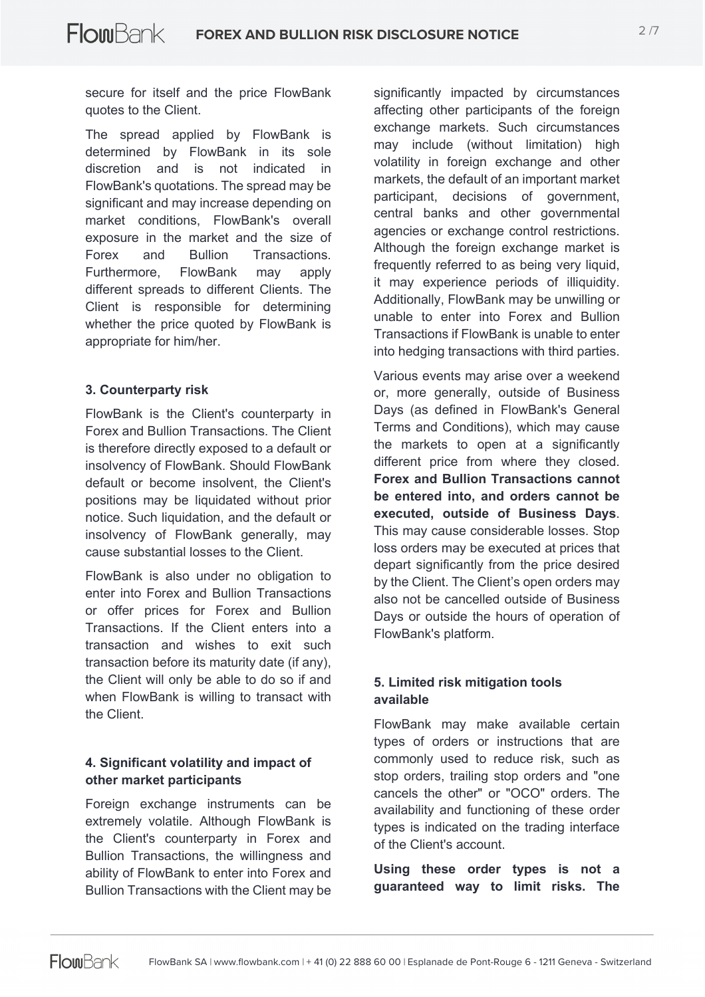secure for itself and the price FlowBank quotes to the Client.

The spread applied by FlowBank is determined by FlowBank in its sole discretion and is not indicated in FlowBank's quotations. The spread may be significant and may increase depending on market conditions, FlowBank's overall exposure in the market and the size of Forex and Bullion Transactions. Furthermore, FlowBank may apply different spreads to different Clients. The Client is responsible for determining whether the price quoted by FlowBank is appropriate for him/her.

#### **3. Counterparty risk**

FlowBank is the Client's counterparty in Forex and Bullion Transactions. The Client is therefore directly exposed to a default or insolvency of FlowBank. Should FlowBank default or become insolvent, the Client's positions may be liquidated without prior notice. Such liquidation, and the default or insolvency of FlowBank generally, may cause substantial losses to the Client.

FlowBank is also under no obligation to enter into Forex and Bullion Transactions or offer prices for Forex and Bullion Transactions. If the Client enters into a transaction and wishes to exit such transaction before its maturity date (if any), the Client will only be able to do so if and when FlowBank is willing to transact with the Client.

# **4. Significant volatility and impact of other market participants**

Foreign exchange instruments can be extremely volatile. Although FlowBank is the Client's counterparty in Forex and Bullion Transactions, the willingness and ability of FlowBank to enter into Forex and Bullion Transactions with the Client may be

significantly impacted by circumstances affecting other participants of the foreign exchange markets. Such circumstances may include (without limitation) high volatility in foreign exchange and other markets, the default of an important market participant, decisions of government, central banks and other governmental agencies or exchange control restrictions. Although the foreign exchange market is frequently referred to as being very liquid, it may experience periods of illiquidity. Additionally, FlowBank may be unwilling or unable to enter into Forex and Bullion Transactions if FlowBank is unable to enter into hedging transactions with third parties.

Various events may arise over a weekend or, more generally, outside of Business Days (as defined in FlowBank's General Terms and Conditions), which may cause the markets to open at a significantly different price from where they closed. **Forex and Bullion Transactions cannot be entered into, and orders cannot be executed, outside of Business Days**. This may cause considerable losses. Stop loss orders may be executed at prices that depart significantly from the price desired by the Client. The Client's open orders may also not be cancelled outside of Business Days or outside the hours of operation of FlowBank's platform.

# **5. Limited risk mitigation tools available**

FlowBank may make available certain types of orders or instructions that are commonly used to reduce risk, such as stop orders, trailing stop orders and "one cancels the other" or "OCO" orders. The availability and functioning of these order types is indicated on the trading interface of the Client's account.

**Using these order types is not a guaranteed way to limit risks. The**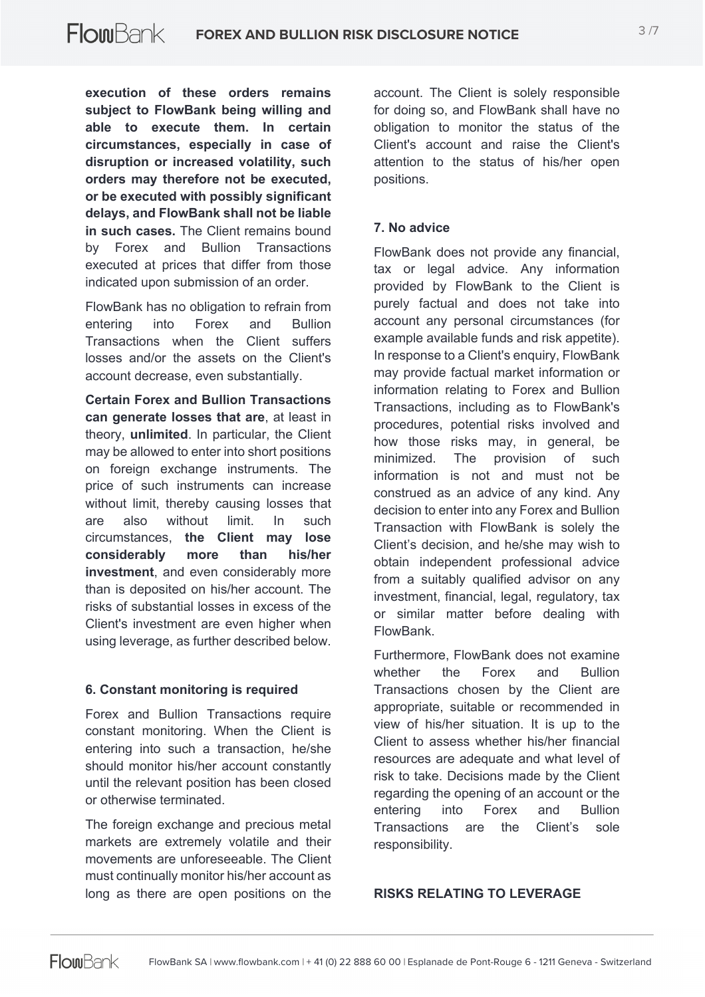**execution of these orders remains subject to FlowBank being willing and able to execute them. In certain circumstances, especially in case of disruption or increased volatility, such orders may therefore not be executed, or be executed with possibly significant delays, and FlowBank shall not be liable in such cases.** The Client remains bound by Forex and Bullion Transactions executed at prices that differ from those indicated upon submission of an order.

FlowBank has no obligation to refrain from entering into Forex and Bullion Transactions when the Client suffers losses and/or the assets on the Client's account decrease, even substantially.

**Certain Forex and Bullion Transactions can generate losses that are**, at least in theory, **unlimited**. In particular, the Client may be allowed to enter into short positions on foreign exchange instruments. The price of such instruments can increase without limit, thereby causing losses that are also without limit. In such circumstances, **the Client may lose considerably more than his/her investment**, and even considerably more than is deposited on his/her account. The risks of substantial losses in excess of the Client's investment are even higher when using leverage, as further described below.

#### **6. Constant monitoring is required**

Forex and Bullion Transactions require constant monitoring. When the Client is entering into such a transaction, he/she should monitor his/her account constantly until the relevant position has been closed or otherwise terminated.

The foreign exchange and precious metal markets are extremely volatile and their movements are unforeseeable. The Client must continually monitor his/her account as long as there are open positions on the

account. The Client is solely responsible for doing so, and FlowBank shall have no obligation to monitor the status of the Client's account and raise the Client's attention to the status of his/her open positions.

# **7. No advice**

FlowBank does not provide any financial, tax or legal advice. Any information provided by FlowBank to the Client is purely factual and does not take into account any personal circumstances (for example available funds and risk appetite). In response to a Client's enquiry, FlowBank may provide factual market information or information relating to Forex and Bullion Transactions, including as to FlowBank's procedures, potential risks involved and how those risks may, in general, be minimized. The provision of such information is not and must not be construed as an advice of any kind. Any decision to enter into any Forex and Bullion Transaction with FlowBank is solely the Client's decision, and he/she may wish to obtain independent professional advice from a suitably qualified advisor on any investment, financial, legal, regulatory, tax or similar matter before dealing with FlowBank.

Furthermore, FlowBank does not examine whether the Forex and Bullion Transactions chosen by the Client are appropriate, suitable or recommended in view of his/her situation. It is up to the Client to assess whether his/her financial resources are adequate and what level of risk to take. Decisions made by the Client regarding the opening of an account or the entering into Forex and Bullion Transactions are the Client's sole responsibility.

#### **RISKS RELATING TO LEVERAGE**

**Flom**Bank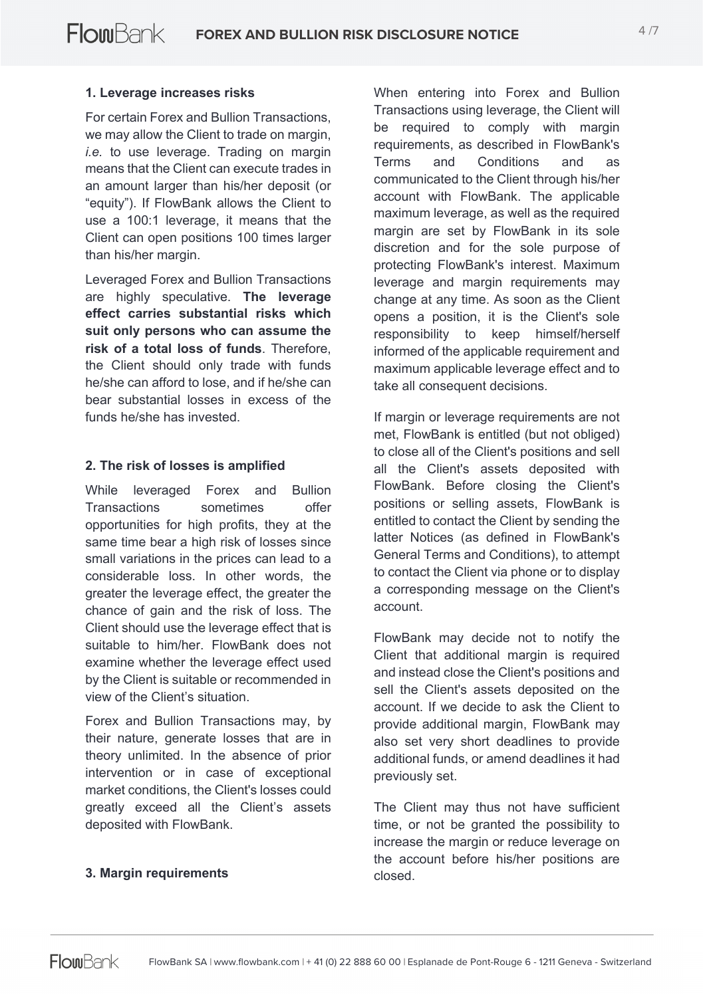### **1. Leverage increases risks**

For certain Forex and Bullion Transactions, we may allow the Client to trade on margin, *i.e.* to use leverage. Trading on margin means that the Client can execute trades in an amount larger than his/her deposit (or "equity"). If FlowBank allows the Client to use a 100:1 leverage, it means that the Client can open positions 100 times larger than his/her margin.

Leveraged Forex and Bullion Transactions are highly speculative. **The leverage effect carries substantial risks which suit only persons who can assume the risk of a total loss of funds**. Therefore, the Client should only trade with funds he/she can afford to lose, and if he/she can bear substantial losses in excess of the funds he/she has invested.

#### **2. The risk of losses is amplified**

While leveraged Forex and Bullion Transactions sometimes offer opportunities for high profits, they at the same time bear a high risk of losses since small variations in the prices can lead to a considerable loss. In other words, the greater the leverage effect, the greater the chance of gain and the risk of loss. The Client should use the leverage effect that is suitable to him/her. FlowBank does not examine whether the leverage effect used by the Client is suitable or recommended in view of the Client's situation.

Forex and Bullion Transactions may, by their nature, generate losses that are in theory unlimited. In the absence of prior intervention or in case of exceptional market conditions, the Client's losses could greatly exceed all the Client's assets deposited with FlowBank.

When entering into Forex and Bullion Transactions using leverage, the Client will be required to comply with margin requirements, as described in FlowBank's Terms and Conditions and as communicated to the Client through his/her account with FlowBank. The applicable maximum leverage, as well as the required margin are set by FlowBank in its sole discretion and for the sole purpose of protecting FlowBank's interest. Maximum leverage and margin requirements may change at any time. As soon as the Client opens a position, it is the Client's sole responsibility to keep himself/herself informed of the applicable requirement and maximum applicable leverage effect and to take all consequent decisions.

If margin or leverage requirements are not met, FlowBank is entitled (but not obliged) to close all of the Client's positions and sell all the Client's assets deposited with FlowBank. Before closing the Client's positions or selling assets, FlowBank is entitled to contact the Client by sending the latter Notices (as defined in FlowBank's General Terms and Conditions), to attempt to contact the Client via phone or to display a corresponding message on the Client's account.

FlowBank may decide not to notify the Client that additional margin is required and instead close the Client's positions and sell the Client's assets deposited on the account. If we decide to ask the Client to provide additional margin, FlowBank may also set very short deadlines to provide additional funds, or amend deadlines it had previously set.

The Client may thus not have sufficient time, or not be granted the possibility to increase the margin or reduce leverage on the account before his/her positions are closed.

#### **3. Margin requirements**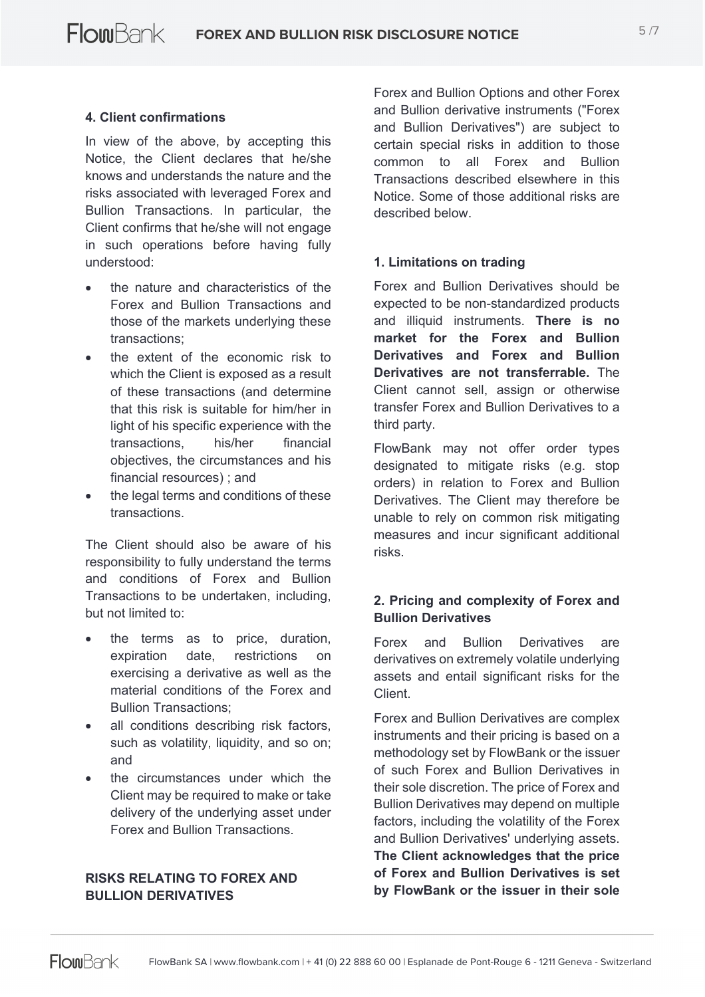## **4. Client confirmations**

In view of the above, by accepting this Notice, the Client declares that he/she knows and understands the nature and the risks associated with leveraged Forex and Bullion Transactions. In particular, the Client confirms that he/she will not engage in such operations before having fully understood:

- the nature and characteristics of the Forex and Bullion Transactions and those of the markets underlying these transactions;
- the extent of the economic risk to which the Client is exposed as a result of these transactions (and determine that this risk is suitable for him/her in light of his specific experience with the transactions, his/her financial objectives, the circumstances and his financial resources) ; and
- the legal terms and conditions of these transactions.

The Client should also be aware of his responsibility to fully understand the terms and conditions of Forex and Bullion Transactions to be undertaken, including, but not limited to:

- the terms as to price, duration, expiration date, restrictions on exercising a derivative as well as the material conditions of the Forex and Bullion Transactions;
- all conditions describing risk factors, such as volatility, liquidity, and so on; and
- the circumstances under which the Client may be required to make or take delivery of the underlying asset under Forex and Bullion Transactions.

### **RISKS RELATING TO FOREX AND BULLION DERIVATIVES**

Forex and Bullion Options and other Forex and Bullion derivative instruments ("Forex and Bullion Derivatives") are subject to certain special risks in addition to those common to all Forex and Bullion Transactions described elsewhere in this Notice. Some of those additional risks are described below.

#### **1. Limitations on trading**

Forex and Bullion Derivatives should be expected to be non-standardized products and illiquid instruments. **There is no market for the Forex and Bullion Derivatives and Forex and Bullion Derivatives are not transferrable.** The Client cannot sell, assign or otherwise transfer Forex and Bullion Derivatives to a third party.

FlowBank may not offer order types designated to mitigate risks (e.g. stop orders) in relation to Forex and Bullion Derivatives. The Client may therefore be unable to rely on common risk mitigating measures and incur significant additional risks.

## **2. Pricing and complexity of Forex and Bullion Derivatives**

Forex and Bullion Derivatives are derivatives on extremely volatile underlying assets and entail significant risks for the Client.

Forex and Bullion Derivatives are complex instruments and their pricing is based on a methodology set by FlowBank or the issuer of such Forex and Bullion Derivatives in their sole discretion. The price of Forex and Bullion Derivatives may depend on multiple factors, including the volatility of the Forex and Bullion Derivatives' underlying assets. **The Client acknowledges that the price of Forex and Bullion Derivatives is set by FlowBank or the issuer in their sole**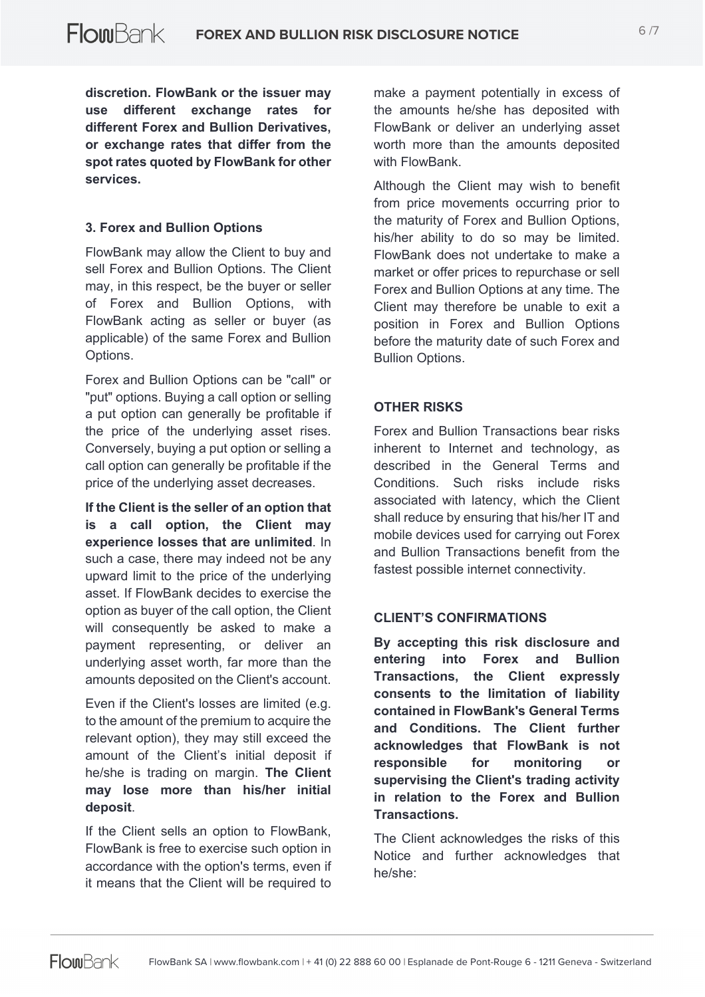**discretion. FlowBank or the issuer may use different exchange rates for different Forex and Bullion Derivatives, or exchange rates that differ from the spot rates quoted by FlowBank for other services.**

### **3. Forex and Bullion Options**

FlowBank may allow the Client to buy and sell Forex and Bullion Options. The Client may, in this respect, be the buyer or seller of Forex and Bullion Options, with FlowBank acting as seller or buyer (as applicable) of the same Forex and Bullion Options.

Forex and Bullion Options can be "call" or "put" options. Buying a call option or selling a put option can generally be profitable if the price of the underlying asset rises. Conversely, buying a put option or selling a call option can generally be profitable if the price of the underlying asset decreases.

**If the Client is the seller of an option that is a call option, the Client may experience losses that are unlimited**. In such a case, there may indeed not be any upward limit to the price of the underlying asset. If FlowBank decides to exercise the option as buyer of the call option, the Client will consequently be asked to make a payment representing, or deliver an underlying asset worth, far more than the amounts deposited on the Client's account.

Even if the Client's losses are limited (e.g. to the amount of the premium to acquire the relevant option), they may still exceed the amount of the Client's initial deposit if he/she is trading on margin. **The Client may lose more than his/her initial deposit**.

If the Client sells an option to FlowBank, FlowBank is free to exercise such option in accordance with the option's terms, even if it means that the Client will be required to

make a payment potentially in excess of the amounts he/she has deposited with FlowBank or deliver an underlying asset worth more than the amounts deposited with FlowBank

Although the Client may wish to benefit from price movements occurring prior to the maturity of Forex and Bullion Options, his/her ability to do so may be limited. FlowBank does not undertake to make a market or offer prices to repurchase or sell Forex and Bullion Options at any time. The Client may therefore be unable to exit a position in Forex and Bullion Options before the maturity date of such Forex and Bullion Options.

# **OTHER RISKS**

Forex and Bullion Transactions bear risks inherent to Internet and technology, as described in the General Terms and Conditions. Such risks include risks associated with latency, which the Client shall reduce by ensuring that his/her IT and mobile devices used for carrying out Forex and Bullion Transactions benefit from the fastest possible internet connectivity.

#### **CLIENT'S CONFIRMATIONS**

**By accepting this risk disclosure and entering into Forex and Bullion Transactions, the Client expressly consents to the limitation of liability contained in FlowBank's General Terms and Conditions. The Client further acknowledges that FlowBank is not responsible for monitoring or supervising the Client's trading activity in relation to the Forex and Bullion Transactions.**

The Client acknowledges the risks of this Notice and further acknowledges that he/she: